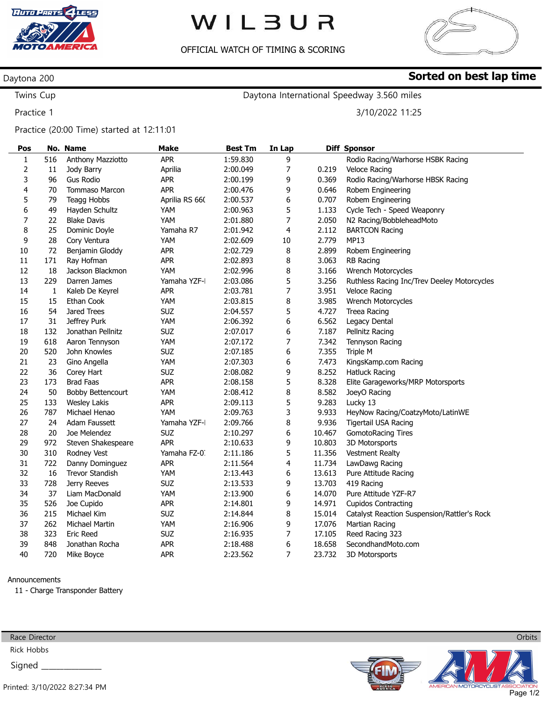

# WILBUR

## OFFICIAL WATCH OF TIMING & SCORING



Sorted on best lap time

## Daytona 200

Twins Cup Practice 1

Daytona International Speedway 3.560 miles

3/10/2022 11:25

### Practice (20:00 Time) started at 12:11:01

| Pos            |     | No. Name                 | <b>Make</b>    | <b>Best Tm</b> | In Lap |        | <b>Diff Sponsor</b>                         |
|----------------|-----|--------------------------|----------------|----------------|--------|--------|---------------------------------------------|
| 1              | 516 | Anthony Mazziotto        | <b>APR</b>     | 1:59.830       | 9      |        | Rodio Racing/Warhorse HSBK Racing           |
| $\overline{2}$ | 11  | Jody Barry               | Aprilia        | 2:00.049       | 7      | 0.219  | <b>Veloce Racing</b>                        |
| 3              | 96  | <b>Gus Rodio</b>         | <b>APR</b>     | 2:00.199       | 9      | 0.369  | Rodio Racing/Warhorse HBSK Racing           |
| 4              | 70  | <b>Tommaso Marcon</b>    | <b>APR</b>     | 2:00.476       | 9      | 0.646  | Robem Engineering                           |
| 5              | 79  | Teagg Hobbs              | Aprilia RS 660 | 2:00.537       | 6      | 0.707  | Robem Engineering                           |
| 6              | 49  | Hayden Schultz           | YAM            | 2:00.963       | 5      | 1.133  | Cycle Tech - Speed Weaponry                 |
| 7              | 22  | <b>Blake Davis</b>       | YAM            | 2:01.880       | 7      | 2.050  | N2 Racing/BobbleheadMoto                    |
| 8              | 25  | Dominic Doyle            | Yamaha R7      | 2:01.942       | 4      | 2.112  | <b>BARTCON Racing</b>                       |
| 9              | 28  | Cory Ventura             | YAM            | 2:02.609       | 10     | 2.779  | <b>MP13</b>                                 |
| 10             | 72  | Benjamin Gloddy          | <b>APR</b>     | 2:02.729       | 8      | 2.899  | Robem Engineering                           |
| 11             | 171 | Ray Hofman               | <b>APR</b>     | 2:02.893       | 8      | 3.063  | <b>RB Racing</b>                            |
| 12             | 18  | Jackson Blackmon         | YAM            | 2:02.996       | 8      | 3.166  | Wrench Motorcycles                          |
| 13             | 229 | Darren James             | Yamaha YZF-I   | 2:03.086       | 5      | 3.256  | Ruthless Racing Inc/Trev Deeley Motorcycles |
| 14             | 1   | Kaleb De Keyrel          | <b>APR</b>     | 2:03.781       | 7      | 3.951  | <b>Veloce Racing</b>                        |
| 15             | 15  | Ethan Cook               | YAM            | 2:03.815       | 8      | 3.985  | Wrench Motorcycles                          |
| 16             | 54  | Jared Trees              | <b>SUZ</b>     | 2:04.557       | 5      | 4.727  | Treea Racing                                |
| 17             | 31  | Jeffrey Purk             | YAM            | 2:06.392       | 6      | 6.562  | Legacy Dental                               |
| 18             | 132 | Jonathan Pellnitz        | <b>SUZ</b>     | 2:07.017       | 6      | 7.187  | Pellnitz Racing                             |
| 19             | 618 | Aaron Tennyson           | YAM            | 2:07.172       | 7      | 7.342  | Tennyson Racing                             |
| 20             | 520 | John Knowles             | <b>SUZ</b>     | 2:07.185       | 6      | 7.355  | Triple M                                    |
| 21             | 23  | Gino Angella             | YAM            | 2:07.303       | 6      | 7.473  | KingsKamp.com Racing                        |
| 22             | 36  | Corey Hart               | <b>SUZ</b>     | 2:08.082       | 9      | 8.252  | <b>Hatluck Racing</b>                       |
| 23             | 173 | <b>Brad Faas</b>         | <b>APR</b>     | 2:08.158       | 5      | 8.328  | Elite Garageworks/MRP Motorsports           |
| 24             | 50  | <b>Bobby Bettencourt</b> | YAM            | 2:08.412       | 8      | 8.582  | JoeyO Racing                                |
| 25             | 133 | <b>Wesley Lakis</b>      | <b>APR</b>     | 2:09.113       | 5      | 9.283  | Lucky 13                                    |
| 26             | 787 | Michael Henao            | YAM            | 2:09.763       | 3      | 9.933  | HeyNow Racing/CoatzyMoto/LatinWE            |
| 27             | 24  | Adam Faussett            | Yamaha YZF-I   | 2:09.766       | 8      | 9.936  | Tigertail USA Racing                        |
| 28             | 20  | Joe Melendez             | <b>SUZ</b>     | 2:10.297       | 6      | 10.467 | <b>GomotoRacing Tires</b>                   |
| 29             | 972 | Steven Shakespeare       | <b>APR</b>     | 2:10.633       | 9      | 10.803 | 3D Motorsports                              |
| 30             | 310 | Rodney Vest              | Yamaha FZ-0.   | 2:11.186       | 5      | 11.356 | <b>Vestment Realty</b>                      |
| 31             | 722 | Danny Dominguez          | <b>APR</b>     | 2:11.564       | 4      | 11.734 | LawDawg Racing                              |
| 32             | 16  | <b>Trevor Standish</b>   | YAM            | 2:13.443       | 6      | 13.613 | Pure Attitude Racing                        |
| 33             | 728 | Jerry Reeves             | <b>SUZ</b>     | 2:13.533       | 9      | 13.703 | 419 Racing                                  |
| 34             | 37  | Liam MacDonald           | YAM            | 2:13.900       | 6      | 14.070 | Pure Attitude YZF-R7                        |
| 35             | 526 | Joe Cupido               | <b>APR</b>     | 2:14.801       | 9      | 14.971 | <b>Cupidos Contracting</b>                  |
| 36             | 215 | Michael Kim              | <b>SUZ</b>     | 2:14.844       | 8      | 15.014 | Catalyst Reaction Suspension/Rattler's Rock |
| 37             | 262 | <b>Michael Martin</b>    | YAM            | 2:16.906       | 9      | 17.076 | Martian Racing                              |
| 38             | 323 | <b>Eric Reed</b>         | <b>SUZ</b>     | 2:16.935       | 7      | 17.105 | Reed Racing 323                             |
| 39             | 848 | Jonathan Rocha           | <b>APR</b>     | 2:18.488       | 6      | 18.658 | SecondhandMoto.com                          |
| 40             | 720 | Mike Boyce               | <b>APR</b>     | 2:23.562       | 7      | 23.732 | 3D Motorsports                              |

#### Announcements

11 - Charge Transponder Battery



Rick Hobbs

Signed \_





**Orbits**